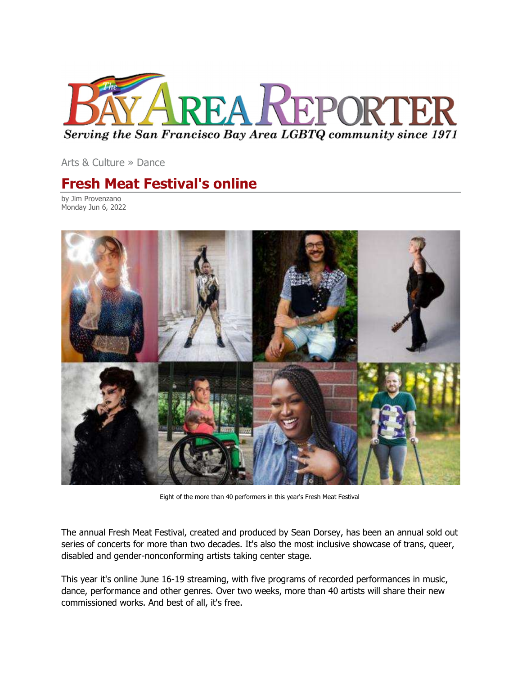

Arts & Culture » Dance

## Fresh Meat Festival's online

by Jim Provenzano Monday Jun 6, 2022



Eight of the more than 40 performers in this year's Fresh Meat Festival

The annual Fresh Meat Festival, created and produced by Sean Dorsey, has been an annual sold out series of concerts for more than two decades. It's also the most inclusive showcase of trans, queer, disabled and gender-nonconforming artists taking center stage.

This year it's online June 16-19 streaming, with five programs of recorded performances in music, dance, performance and other genres. Over two weeks, more than 40 artists will share their new commissioned works. And best of all, it's free.